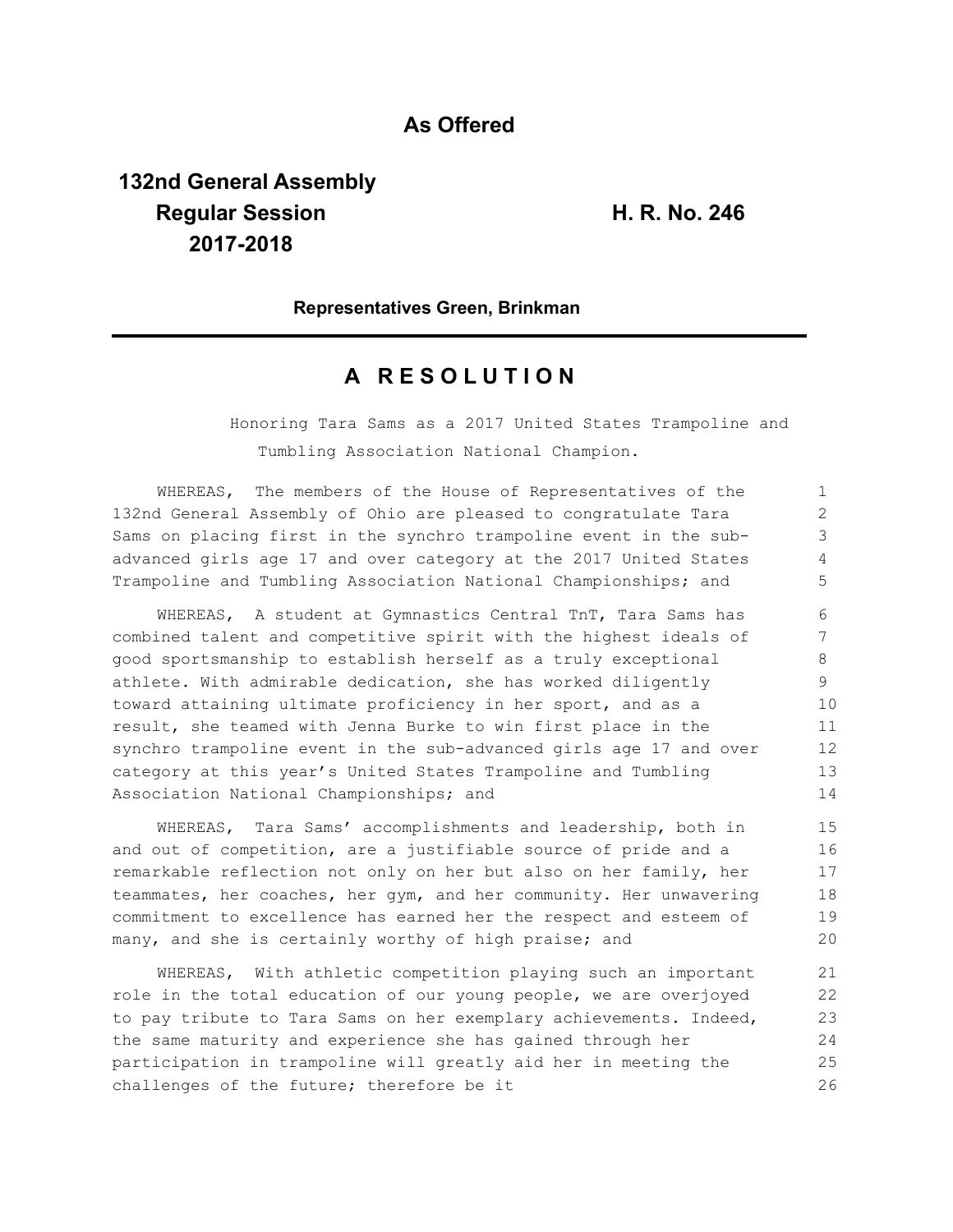# **As Offered**

# **132nd General Assembly Regular Session H. R. No. 246 2017-2018**

### **Representatives Green, Brinkman**

## **A R E S O L U T I O N**

Honoring Tara Sams as a 2017 United States Trampoline and Tumbling Association National Champion.

WHEREAS, The members of the House of Representatives of the 132nd General Assembly of Ohio are pleased to congratulate Tara Sams on placing first in the synchro trampoline event in the subadvanced girls age 17 and over category at the 2017 United States Trampoline and Tumbling Association National Championships; and

WHEREAS, A student at Gymnastics Central TnT, Tara Sams has combined talent and competitive spirit with the highest ideals of good sportsmanship to establish herself as a truly exceptional athlete. With admirable dedication, she has worked diligently toward attaining ultimate proficiency in her sport, and as a result, she teamed with Jenna Burke to win first place in the synchro trampoline event in the sub-advanced girls age 17 and over category at this year's United States Trampoline and Tumbling Association National Championships; and

WHEREAS, Tara Sams' accomplishments and leadership, both in and out of competition, are a justifiable source of pride and a remarkable reflection not only on her but also on her family, her teammates, her coaches, her gym, and her community. Her unwavering commitment to excellence has earned her the respect and esteem of many, and she is certainly worthy of high praise; and

WHEREAS, With athletic competition playing such an important role in the total education of our young people, we are overjoyed to pay tribute to Tara Sams on her exemplary achievements. Indeed, the same maturity and experience she has gained through her participation in trampoline will greatly aid her in meeting the challenges of the future; therefore be it 21 22 23 24 25 26